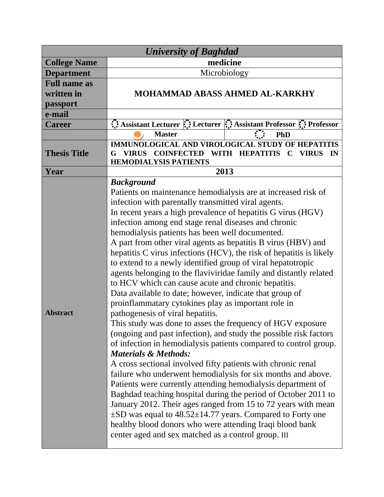| <b>University of Baghdad</b>                  |                                                                                                                                                                                                                                                                                                                                                                                                                                                                                                                                                                                                                                                                                                                                                                                                                                                                                                                                                                                                                                                                                                                                                                                                                                                                                                                                                                                                                                                                                                                                                                                       |                                                                 |
|-----------------------------------------------|---------------------------------------------------------------------------------------------------------------------------------------------------------------------------------------------------------------------------------------------------------------------------------------------------------------------------------------------------------------------------------------------------------------------------------------------------------------------------------------------------------------------------------------------------------------------------------------------------------------------------------------------------------------------------------------------------------------------------------------------------------------------------------------------------------------------------------------------------------------------------------------------------------------------------------------------------------------------------------------------------------------------------------------------------------------------------------------------------------------------------------------------------------------------------------------------------------------------------------------------------------------------------------------------------------------------------------------------------------------------------------------------------------------------------------------------------------------------------------------------------------------------------------------------------------------------------------------|-----------------------------------------------------------------|
| <b>College Name</b>                           | medicine                                                                                                                                                                                                                                                                                                                                                                                                                                                                                                                                                                                                                                                                                                                                                                                                                                                                                                                                                                                                                                                                                                                                                                                                                                                                                                                                                                                                                                                                                                                                                                              |                                                                 |
| <b>Department</b>                             | Microbiology                                                                                                                                                                                                                                                                                                                                                                                                                                                                                                                                                                                                                                                                                                                                                                                                                                                                                                                                                                                                                                                                                                                                                                                                                                                                                                                                                                                                                                                                                                                                                                          |                                                                 |
| <b>Full name as</b><br>written in<br>passport | <b>MOHAMMAD ABASS AHMED AL-KARKHY</b>                                                                                                                                                                                                                                                                                                                                                                                                                                                                                                                                                                                                                                                                                                                                                                                                                                                                                                                                                                                                                                                                                                                                                                                                                                                                                                                                                                                                                                                                                                                                                 |                                                                 |
| e-mail                                        |                                                                                                                                                                                                                                                                                                                                                                                                                                                                                                                                                                                                                                                                                                                                                                                                                                                                                                                                                                                                                                                                                                                                                                                                                                                                                                                                                                                                                                                                                                                                                                                       |                                                                 |
| <b>Career</b>                                 |                                                                                                                                                                                                                                                                                                                                                                                                                                                                                                                                                                                                                                                                                                                                                                                                                                                                                                                                                                                                                                                                                                                                                                                                                                                                                                                                                                                                                                                                                                                                                                                       | Assistant Lecturer : Lecturer : Assistant Professor : Professor |
|                                               | <b>Master</b>                                                                                                                                                                                                                                                                                                                                                                                                                                                                                                                                                                                                                                                                                                                                                                                                                                                                                                                                                                                                                                                                                                                                                                                                                                                                                                                                                                                                                                                                                                                                                                         | <b>PhD</b>                                                      |
| <b>Thesis Title</b>                           | <b>IMMUNOLOGICAL AND VIROLOGICAL STUDY OF HEPATITIS</b><br>VIRUS COINFECTED WITH HEPATITIS<br><b>VIRUS</b><br>IN<br>$\mathbf C$<br><b>HEMODIALYSIS PATIENTS</b>                                                                                                                                                                                                                                                                                                                                                                                                                                                                                                                                                                                                                                                                                                                                                                                                                                                                                                                                                                                                                                                                                                                                                                                                                                                                                                                                                                                                                       |                                                                 |
| Year                                          | 2013                                                                                                                                                                                                                                                                                                                                                                                                                                                                                                                                                                                                                                                                                                                                                                                                                                                                                                                                                                                                                                                                                                                                                                                                                                                                                                                                                                                                                                                                                                                                                                                  |                                                                 |
| <b>Abstract</b>                               | <b>Background</b><br>Patients on maintenance hemodialysis are at increased risk of<br>infection with parentally transmitted viral agents.<br>In recent years a high prevalence of hepatitis G virus (HGV)<br>infection among end stage renal diseases and chronic<br>hemodialysis patients has been well documented.<br>A part from other viral agents as hepatitis B virus (HBV) and<br>hepatitis C virus infections (HCV), the risk of hepatitis is likely<br>to extend to a newly identified group of viral hepatotropic<br>agents belonging to the flaviviridae family and distantly related<br>to HCV which can cause acute and chronic hepatitis.<br>Data available to date; however, indicate that group of<br>proinflammatary cytokines play as important role in<br>pathogenesis of viral hepatitis.<br>This study was done to asses the frequency of HGV exposure<br>(ongoing and past infection), and study the possible risk factors<br>of infection in hemodialysis patients compared to control group.<br><b>Materials &amp; Methods:</b><br>A cross sectional involved fifty patients with chronic renal<br>failure who underwent hemodialysis for six months and above.<br>Patients were currently attending hemodialysis department of<br>Baghdad teaching hospital during the period of October 2011 to<br>January 2012. Their ages ranged from 15 to 72 years with mean<br>$\pm$ SD was equal to 48.52 $\pm$ 14.77 years. Compared to Forty one<br>healthy blood donors who were attending Iraqi blood bank<br>center aged and sex matched as a control group. III |                                                                 |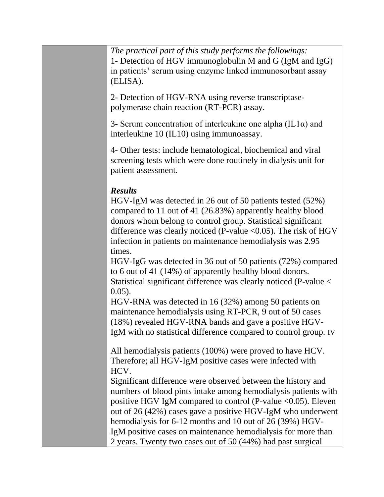*The practical part of this study performs the followings:*  1- Detection of HGV immunoglobulin M and G (IgM and IgG) in patients' serum using enzyme linked immunosorbant assay (ELISA).

2- Detection of HGV-RNA using reverse transcriptasepolymerase chain reaction (RT-PCR) assay.

3- Serum concentration of interleukine one alpha (IL1 $\alpha$ ) and interleukine 10 (IL10) using immunoassay.

4- Other tests: include hematological, biochemical and viral screening tests which were done routinely in dialysis unit for patient assessment.

## *Results*

HGV-IgM was detected in 26 out of 50 patients tested (52%) compared to 11 out of 41 (26.83%) apparently healthy blood donors whom belong to control group. Statistical significant difference was clearly noticed (P-value  $\langle 0.05 \rangle$ ). The risk of HGV infection in patients on maintenance hemodialysis was 2.95 times.

HGV-IgG was detected in 36 out of 50 patients (72%) compared to 6 out of 41 (14%) of apparently healthy blood donors. Statistical significant difference was clearly noticed (P-value < 0.05).

HGV-RNA was detected in 16 (32%) among 50 patients on maintenance hemodialysis using RT-PCR, 9 out of 50 cases (18%) revealed HGV-RNA bands and gave a positive HGV-IgM with no statistical difference compared to control group. IV

All hemodialysis patients (100%) were proved to have HCV. Therefore; all HGV-IgM positive cases were infected with HCV.

Significant difference were observed between the history and numbers of blood pints intake among hemodialysis patients with positive HGV IgM compared to control (P-value <0.05). Eleven out of 26 (42%) cases gave a positive HGV-IgM who underwent hemodialysis for 6-12 months and 10 out of 26 (39%) HGV-IgM positive cases on maintenance hemodialysis for more than 2 years. Twenty two cases out of 50 (44%) had past surgical